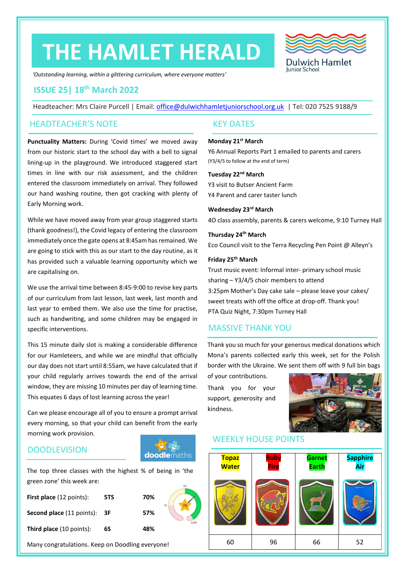# **THE HAMLET HERALD**



*'Outstanding learning, within a glittering curriculum, where everyone matters'*

#### **ISSUE 25| 18th March 2022**

Headteacher: Mrs Claire Purcell | Email: [office@dulwichhamletjuniorschool.org.uk](mailto:office@dulwichhamletjuniorschool.org.uk) | Tel: 020 7525 9188/9

#### HEADTEACHER'S NOTE KEY DATES

**Punctuality Matters:** During 'Covid times' we moved away from our historic start to the school day with a bell to signal lining-up in the playground. We introduced staggered start times in line with our risk assessment, and the children entered the classroom immediately on arrival. They followed our hand washing routine, then got cracking with plenty of Early Morning work.

While we have moved away from year group staggered starts (thank goodness!), the Covid legacy of entering the classroom immediately once the gate opens at 8:45am has remained. We are going to stick with this as our start to the day routine, as it has provided such a valuable learning opportunity which we are capitalising on.

We use the arrival time between 8:45-9:00 to revise key parts of our curriculum from last lesson, last week, last month and last year to embed them. We also use the time for practise, such as handwriting, and some children may be engaged in specific interventions.

This 15 minute daily slot is making a considerable difference for our Hamleteers, and while we are mindful that officially our day does not start until 8:55am, we have calculated that if your child regularly arrives towards the end of the arrival window, they are missing 10 minutes per day of learning time. This equates 6 days of lost learning across the year!

Can we please encourage all of you to ensure a prompt arrival every morning, so that your child can benefit from the early morning work provision.

#### **DOODLEVISION**



The top three classes with the highest % of being in 'the green zone' this week are:

| <b>First place</b> (12 points): | 5TS | 70% |  |
|---------------------------------|-----|-----|--|
| Second place (11 points): 3F    |     | 57% |  |
| <b>Third place</b> (10 points): | 6S  | 48% |  |

Many congratulations. Keep on Doodling everyone!

#### **Monday 21st March**

Y6 Annual Reports Part 1 emailed to parents and carers (Y3/4/5 to follow at the end of term)

#### **Tuesday 22nd March**

Y3 visit to Butser Ancient Farm Y4 Parent and carer taster lunch

**Wednesday 23rd March**

4O class assembly, parents & carers welcome, 9:10 Turney Hall

#### **Thursday 24th March**

Eco Council visit to the Terra Recycling Pen Point @ Alleyn's

#### **Friday 25th March**

Trust music event: Informal inter- primary school music sharing – Y3/4/5 choir members to attend 3:25pm Mother's Day cake sale – please leave your cakes/ sweet treats with off the office at drop-off. Thank you! PTA Quiz Night, 7:30pm Turney Hall

#### MASSIVE THANK YOU

Thank you so much for your generous medical donations which Mona's parents collected early this week, set for the Polish border with the Ukraine. We sent them off with 9 full bin bags

of your contributions. Thank you for your support, generosity and kindness.



#### WEEKLY HOUSE POINTS

| <b>Topaz</b><br><b>Water</b> | <b>Ruby</b><br><b>Fire</b> | <b>Garnet</b><br><b>Earth</b> | <b>Sapphire</b><br>Air |
|------------------------------|----------------------------|-------------------------------|------------------------|
|                              |                            |                               | Sapphire Air           |
| 60                           | 96                         | 66                            | 52                     |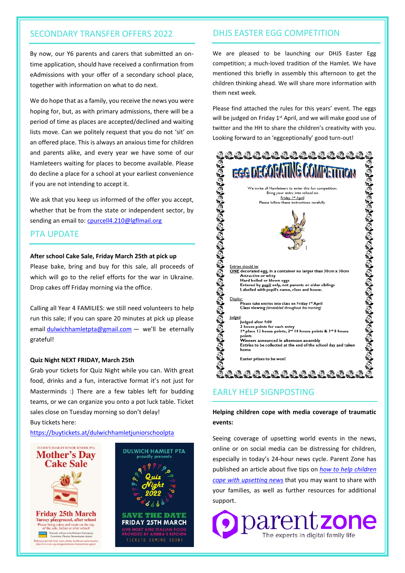#### SECONDARY TRANSFER OFFERS 2022

By now, our Y6 parents and carers that submitted an ontime application, should have received a confirmation from eAdmissions with your offer of a secondary school place, together with information on what to do next.

We do hope that as a family, you receive the news you were hoping for, but, as with primary admissions, there will be a period of time as places are accepted/declined and waiting lists move. Can we politely request that you do not 'sit' on an offered place. This is always an anxious time for children and parents alike, and every year we have some of our Hamleteers waiting for places to become available. Please do decline a place for a school at your earliest convenience if you are not intending to accept it.

We ask that you keep us informed of the offer you accept, whether that be from the state or independent sector, by sending an email to[: cpurcell4.210@lgflmail.org](mailto:cpurcell4.210@lgflmail.org)

#### PTA UPDATE

#### **After school Cake Sale, Friday March 25th at pick up**

Please bake, bring and buy for this sale, all proceeds of which will go to the relief efforts for the war in Ukraine. Drop cakes off Friday morning via the office.

Calling all Year 4 FAMILIES: we still need volunteers to help run this sale; if you can spare 20 minutes at pick up please email [dulwichhamletpta@gmail.com](mailto:dulwichhamletpta@gmail.com) - we'll be eternally grateful!

#### **Quiz Night NEXT FRIDAY, March 25th**

Grab your tickets for Quiz Night while you can. With great food, drinks and a fun, interactive format it's not just for Masterminds :) There are a few tables left for budding teams, or we can organize you onto a pot luck table. Ticket sales close on Tuesday morning so don't delay! Buy tickets here:

<https://buytickets.at/dulwichhamletjuniorschoolpta>



#### DHJS EASTER EGG COMPETITION

We are pleased to be launching our DHJS Easter Egg competition; a much-loved tradition of the Hamlet. We have mentioned this briefly in assembly this afternoon to get the children thinking ahead. We will share more information with them next week.

Please find attached the rules for this years' event. The eggs will be judged on Friday 1<sup>st</sup> April, and we will make good use of twitter and the HH to share the children's creativity with you. Looking forward to an 'eggceptionally' good turn-out!



#### EARLY HELP SIGNPOSTING

#### **Helping children cope with media coverage of traumatic events:**

Seeing coverage of upsetting world events in the news, online or on social media can be distressing for children, especially in today's 24-hour news cycle. Parent Zone has published an article about five tips on *[how to help children](https://www.parents.parentzone.org.uk/morearticles/helping-your-child-cope-with-media-coverage-of-traumatic-events)  [cope with upsetting news](https://www.parents.parentzone.org.uk/morearticles/helping-your-child-cope-with-media-coverage-of-traumatic-events)* that you may want to share with your families, as well as further resources for additional support.

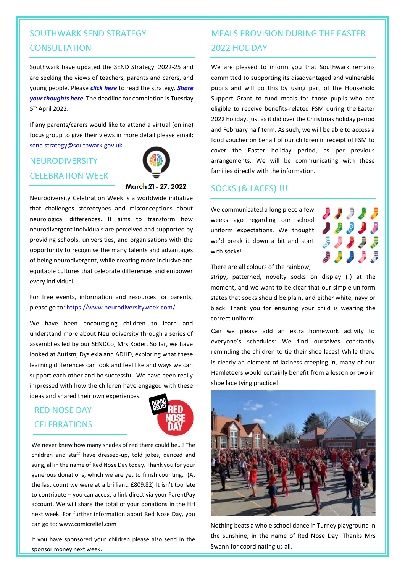# SOUTHWARK SEND STRATEGY **CONSULTATION**

Southwark have updated the SEND Strategy, 2022-25 and are seeking the views of teachers, parents and carers, and young people. Please *click [here](https://schools.southwark.gov.uk/news/2022/mar/send-strategy-consultation-is-now-live)* to read the strategy. *[Share](https://forms.office.com/Pages/ResponsePage.aspx?id=Bs-t94-VxES8HDOe3ZCQPSfVJRyvRrZLpBA1nDZZUahUODFXNkg1UlJQVkE1VDE4UVc2WDlGWkhaNy4u)  your [thoughts here](https://forms.office.com/Pages/ResponsePage.aspx?id=Bs-t94-VxES8HDOe3ZCQPSfVJRyvRrZLpBA1nDZZUahUODFXNkg1UlJQVkE1VDE4UVc2WDlGWkhaNy4u)*. [T](https://forms.office.com/Pages/ResponsePage.aspx?id=Bs-t94-VxES8HDOe3ZCQPSfVJRyvRrZLpBA1nDZZUahUODFXNkg1UlJQVkE1VDE4UVc2WDlGWkhaNy4u)he deadline for completion is Tuesday 5 th April 2022.

If any parents/carers would like to attend a virtual (online) focus group to give their views in more detail please email: [send.strategy@southwark.gov.uk](mailto:send.strategy@southwark.gov.uk)

# NEURODIVERSITY CELEBRATION WEEK



#### March 21 - 27, 2022

Neurodiversity Celebration Week is a worldwide initiative that challenges stereotypes and misconceptions about neurological differences. It aims to transform how neurodivergent individuals are perceived and supported by providing schools, universities, and organisations with the opportunity to recognise the many talents and advantages of being neurodivergent, while creating more inclusive and equitable cultures that celebrate differences and empower every individual.

For free events, information and resources for parents, please go to:<https://www.neurodiversityweek.com/>

We have been encouraging children to learn and understand more about Neurodiversity through a series of assemblies led by our SENDCo, Mrs Koder. So far, we have looked at Autism, Dyslexia and ADHD, exploring what these learning differences can look and feel like and ways we can support each other and be successful. We have been really impressed with how the children have engaged with these ideas and shared their own experiences.

### RED NOSE DAY CELEBRATIONS



We never knew how many shades of red there could be…! The children and staff have dressed-up, told jokes, danced and sung, all in the name of Red Nose Day today. Thank you for your generous donations, which we are yet to finish counting. (At the last count we were at a brilliant: £809.82) It isn't too late to contribute – you can access a link direct via your ParentPay account. We will share the total of your donations in the HH next week. For further information about Red Nose Day, you can go to[: www.comicrelief.com](http://www.comicrelief.com/) 

If you have sponsored your children please also send in the sponsor money next week.

# MEALS PROVISION DURING THE EASTER 2022 HOLIDAY

We are pleased to inform you that Southwark remains committed to supporting its disadvantaged and vulnerable pupils and will do this by using part of the Household Support Grant to fund meals for those pupils who are eligible to receive benefits-related FSM during the Easter 2022 holiday, just as it did over the Christmas holiday period and February half term. As such, we will be able to access a food voucher on behalf of our children in receipt of FSM to cover the Easter holiday period, as per previous arrangements. We will be communicating with these families directly with the information.

#### SOCKS (& LACES) !!!

We communicated a long piece a few weeks ago regarding our school uniform expectations. We thought we'd break it down a bit and start with socks!



There are all colours of the rainbow,

stripy, patterned, novelty socks on display (!) at the moment, and we want to be clear that our simple uniform states that socks should be plain, and either white, navy or black. Thank you for ensuring your child is wearing the correct uniform.

Can we please add an extra homework activity to everyone's schedules: We find ourselves constantly reminding the children to tie their shoe laces! While there is clearly an element of laziness creeping in, many of our Hamleteers would certainly benefit from a lesson or two in shoe lace tying practice!



Nothing beats a whole school dance in Turney playground in the sunshine, in the name of Red Nose Day. Thanks Mrs Swann for coordinating us all.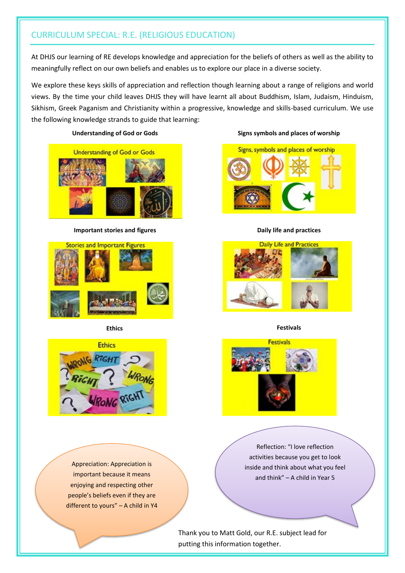## CURRICULUM SPECIAL: R.E. (RELIGIOUS EDUCATION)

At DHJS our learning of RE develops knowledge and appreciation for the beliefs of others as well as the ability to meaningfully reflect on our own beliefs and enables us to explore our place in a diverse society.

We explore these keys skills of appreciation and reflection though learning about a range of religions and world views. By the time your child leaves DHJS they will have learnt all about Buddhism, Islam, Judaism, Hinduism, Sikhism, Greek Paganism and Christianity within a progressive, knowledge and skills-based curriculum. We use the following knowledge strands to guide that learning:

#### **Understanding of God or Gods Signs symbols and places of worship**



**Important stories and figures Daily life and practices** 









**Ethics Festivals**



Reflection: "I love reflection activities because you get to look inside and think about what you feel and think" – A child in Year 5

Appreciation: Appreciation is important because it means enjoying and respecting other people's beliefs even if they are different to yours" – A child in Y4

> Thank you to Matt Gold, our R.E. subject lead for putting this information together.